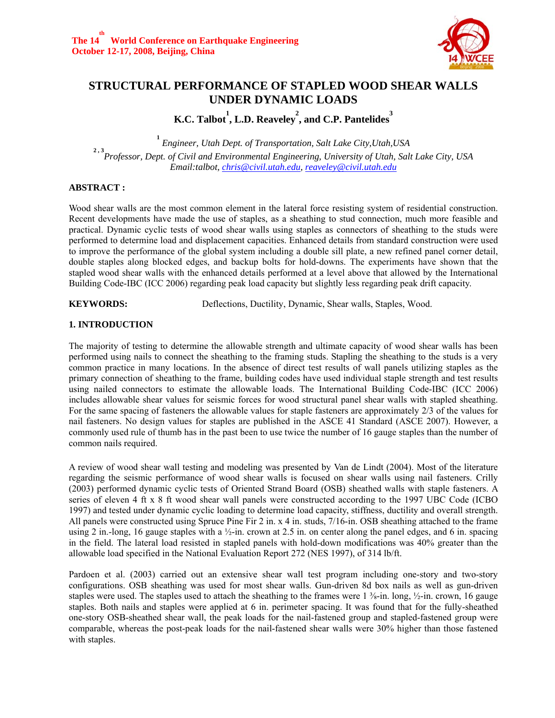

# **STRUCTURAL PERFORMANCE OF STAPLED WOOD SHEAR WALLS UNDER DYNAMIC LOADS**

**K.C. Talbot 1 , L.D. Reaveley 2 , and C.P. Pantelides 3**

**1**  *Engineer, Utah Dept. of Transportation, Salt Lake City,Utah,USA*  **2 , 3** *Professor, Dept. of Civil and Environmental Engineering, University of Utah, Salt Lake City, USA Email:talbot, chris@civil.utah.edu, reaveley@civil.utah.edu*

#### **ABSTRACT :**

Wood shear walls are the most common element in the lateral force resisting system of residential construction. Recent developments have made the use of staples, as a sheathing to stud connection, much more feasible and practical. Dynamic cyclic tests of wood shear walls using staples as connectors of sheathing to the studs were performed to determine load and displacement capacities. Enhanced details from standard construction were used to improve the performance of the global system including a double sill plate, a new refined panel corner detail, double staples along blocked edges, and backup bolts for hold-downs. The experiments have shown that the stapled wood shear walls with the enhanced details performed at a level above that allowed by the International Building Code-IBC (ICC 2006) regarding peak load capacity but slightly less regarding peak drift capacity.

**KEYWORDS:** Deflections, Ductility, Dynamic, Shear walls, Staples, Wood.

### **1. INTRODUCTION**

The majority of testing to determine the allowable strength and ultimate capacity of wood shear walls has been performed using nails to connect the sheathing to the framing studs. Stapling the sheathing to the studs is a very common practice in many locations. In the absence of direct test results of wall panels utilizing staples as the primary connection of sheathing to the frame, building codes have used individual staple strength and test results using nailed connectors to estimate the allowable loads. The International Building Code-IBC (ICC 2006) includes allowable shear values for seismic forces for wood structural panel shear walls with stapled sheathing. For the same spacing of fasteners the allowable values for staple fasteners are approximately 2/3 of the values for nail fasteners. No design values for staples are published in the ASCE 41 Standard (ASCE 2007). However, a commonly used rule of thumb has in the past been to use twice the number of 16 gauge staples than the number of common nails required.

A review of wood shear wall testing and modeling was presented by Van de Lindt (2004). Most of the literature regarding the seismic performance of wood shear walls is focused on shear walls using nail fasteners. Crilly (2003) performed dynamic cyclic tests of Oriented Strand Board (OSB) sheathed walls with staple fasteners. A series of eleven 4 ft x 8 ft wood shear wall panels were constructed according to the 1997 UBC Code (ICBO 1997) and tested under dynamic cyclic loading to determine load capacity, stiffness, ductility and overall strength. All panels were constructed using Spruce Pine Fir 2 in. x 4 in. studs, 7/16-in. OSB sheathing attached to the frame using 2 in.-long, 16 gauge staples with a  $\frac{1}{2}$ -in. crown at 2.5 in. on center along the panel edges, and 6 in. spacing in the field. The lateral load resisted in stapled panels with hold-down modifications was 40% greater than the allowable load specified in the National Evaluation Report 272 (NES 1997), of 314 lb/ft.

Pardoen et al. (2003) carried out an extensive shear wall test program including one-story and two-story configurations. OSB sheathing was used for most shear walls. Gun-driven 8d box nails as well as gun-driven staples were used. The staples used to attach the sheathing to the frames were  $1\frac{3}{8}$ -in. long,  $\frac{1}{2}$ -in. crown, 16 gauge staples. Both nails and staples were applied at 6 in. perimeter spacing. It was found that for the fully-sheathed one-story OSB-sheathed shear wall, the peak loads for the nail-fastened group and stapled-fastened group were comparable, whereas the post-peak loads for the nail-fastened shear walls were 30% higher than those fastened with staples.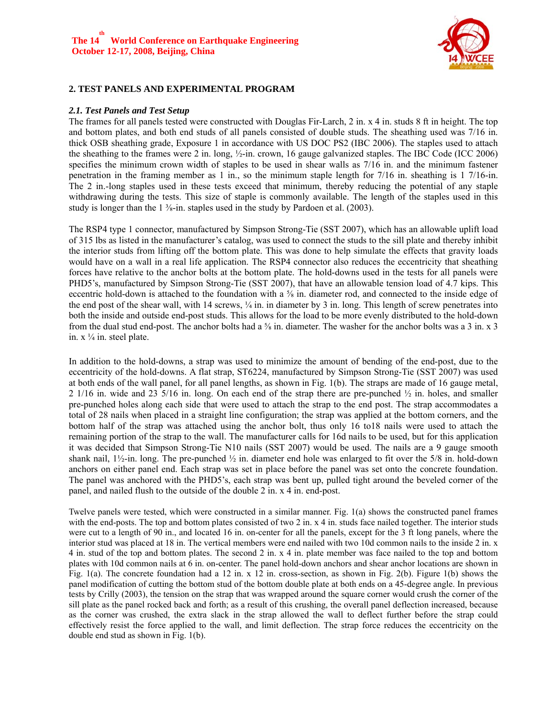

### **2. TEST PANELS AND EXPERIMENTAL PROGRAM**

#### *2.1. Test Panels and Test Setup*

The frames for all panels tested were constructed with Douglas Fir-Larch, 2 in. x 4 in. studs 8 ft in height. The top and bottom plates, and both end studs of all panels consisted of double studs. The sheathing used was 7/16 in. thick OSB sheathing grade, Exposure 1 in accordance with US DOC PS2 (IBC 2006). The staples used to attach the sheathing to the frames were 2 in. long, ½-in. crown, 16 gauge galvanized staples. The IBC Code (ICC 2006) specifies the minimum crown width of staples to be used in shear walls as 7/16 in. and the minimum fastener penetration in the framing member as 1 in., so the minimum staple length for 7/16 in. sheathing is 1 7/16-in. The 2 in.-long staples used in these tests exceed that minimum, thereby reducing the potential of any staple withdrawing during the tests. This size of staple is commonly available. The length of the staples used in this study is longer than the  $1\frac{3}{5}$ -in. staples used in the study by Pardoen et al. (2003).

The RSP4 type 1 connector, manufactured by Simpson Strong-Tie (SST 2007), which has an allowable uplift load of 315 lbs as listed in the manufacturer's catalog, was used to connect the studs to the sill plate and thereby inhibit the interior studs from lifting off the bottom plate. This was done to help simulate the effects that gravity loads would have on a wall in a real life application. The RSP4 connector also reduces the eccentricity that sheathing forces have relative to the anchor bolts at the bottom plate. The hold-downs used in the tests for all panels were PHD5's, manufactured by Simpson Strong-Tie (SST 2007), that have an allowable tension load of 4.7 kips. This eccentric hold-down is attached to the foundation with a ⅝ in. diameter rod, and connected to the inside edge of the end post of the shear wall, with 14 screws,  $\frac{1}{4}$  in. in diameter by 3 in. long. This length of screw penetrates into both the inside and outside end-post studs. This allows for the load to be more evenly distributed to the hold-down from the dual stud end-post. The anchor bolts had a  $\frac{5}{8}$  in. diameter. The washer for the anchor bolts was a 3 in. x 3 in.  $x \frac{1}{4}$  in. steel plate.

In addition to the hold-downs, a strap was used to minimize the amount of bending of the end-post, due to the eccentricity of the hold-downs. A flat strap, ST6224, manufactured by Simpson Strong-Tie (SST 2007) was used at both ends of the wall panel, for all panel lengths, as shown in Fig. 1(b). The straps are made of 16 gauge metal, 2 1/16 in. wide and 23 5/16 in. long. On each end of the strap there are pre-punched ½ in. holes, and smaller pre-punched holes along each side that were used to attach the strap to the end post. The strap accommodates a total of 28 nails when placed in a straight line configuration; the strap was applied at the bottom corners, and the bottom half of the strap was attached using the anchor bolt, thus only 16 to18 nails were used to attach the remaining portion of the strap to the wall. The manufacturer calls for 16d nails to be used, but for this application it was decided that Simpson Strong-Tie N10 nails (SST 2007) would be used. The nails are a 9 gauge smooth shank nail,  $1\frac{1}{2}$ -in. long. The pre-punched  $\frac{1}{2}$  in. diameter end hole was enlarged to fit over the 5/8 in. hold-down anchors on either panel end. Each strap was set in place before the panel was set onto the concrete foundation. The panel was anchored with the PHD5's, each strap was bent up, pulled tight around the beveled corner of the panel, and nailed flush to the outside of the double 2 in. x 4 in. end-post.

Twelve panels were tested, which were constructed in a similar manner. Fig. 1(a) shows the constructed panel frames with the end-posts. The top and bottom plates consisted of two 2 in. x 4 in. studs face nailed together. The interior studs were cut to a length of 90 in., and located 16 in. on-center for all the panels, except for the 3 ft long panels, where the interior stud was placed at 18 in. The vertical members were end nailed with two 10d common nails to the inside 2 in. x 4 in. stud of the top and bottom plates. The second 2 in. x 4 in. plate member was face nailed to the top and bottom plates with 10d common nails at 6 in. on-center. The panel hold-down anchors and shear anchor locations are shown in Fig. 1(a). The concrete foundation had a 12 in. x 12 in. cross-section, as shown in Fig. 2(b). Figure 1(b) shows the panel modification of cutting the bottom stud of the bottom double plate at both ends on a 45-degree angle. In previous tests by Crilly (2003), the tension on the strap that was wrapped around the square corner would crush the corner of the sill plate as the panel rocked back and forth; as a result of this crushing, the overall panel deflection increased, because as the corner was crushed, the extra slack in the strap allowed the wall to deflect further before the strap could effectively resist the force applied to the wall, and limit deflection. The strap force reduces the eccentricity on the double end stud as shown in Fig. 1(b).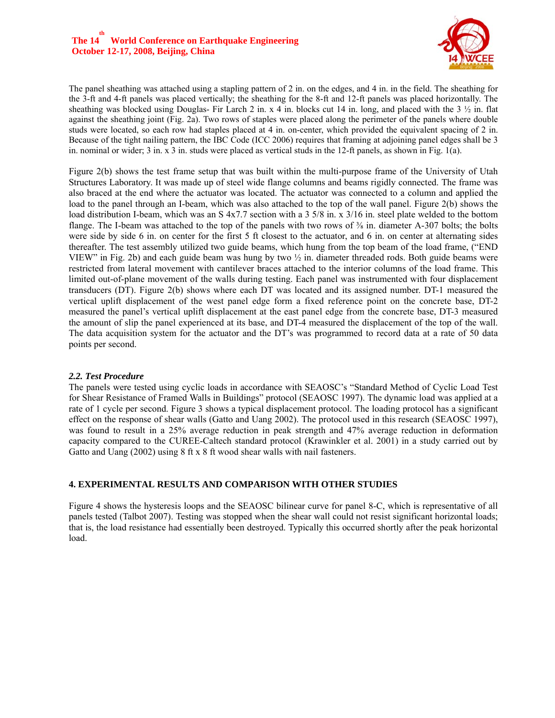

The panel sheathing was attached using a stapling pattern of 2 in. on the edges, and 4 in. in the field. The sheathing for the 3-ft and 4-ft panels was placed vertically; the sheathing for the 8-ft and 12-ft panels was placed horizontally. The sheathing was blocked using Douglas- Fir Larch 2 in. x 4 in. blocks cut 14 in. long, and placed with the 3  $\frac{1}{2}$  in. flat against the sheathing joint (Fig. 2a). Two rows of staples were placed along the perimeter of the panels where double studs were located, so each row had staples placed at 4 in. on-center, which provided the equivalent spacing of 2 in. Because of the tight nailing pattern, the IBC Code (ICC 2006) requires that framing at adjoining panel edges shall be 3 in. nominal or wider; 3 in. x 3 in. studs were placed as vertical studs in the 12-ft panels, as shown in Fig. 1(a).

Figure 2(b) shows the test frame setup that was built within the multi-purpose frame of the University of Utah Structures Laboratory. It was made up of steel wide flange columns and beams rigidly connected. The frame was also braced at the end where the actuator was located. The actuator was connected to a column and applied the load to the panel through an I-beam, which was also attached to the top of the wall panel. Figure 2(b) shows the load distribution I-beam, which was an S 4x7.7 section with a 3 5/8 in. x 3/16 in. steel plate welded to the bottom flange. The I-beam was attached to the top of the panels with two rows of  $\frac{3}{8}$  in. diameter A-307 bolts; the bolts were side by side 6 in. on center for the first 5 ft closest to the actuator, and 6 in. on center at alternating sides thereafter. The test assembly utilized two guide beams, which hung from the top beam of the load frame, ("END VIEW" in Fig. 2b) and each guide beam was hung by two ½ in. diameter threaded rods. Both guide beams were restricted from lateral movement with cantilever braces attached to the interior columns of the load frame. This limited out-of-plane movement of the walls during testing. Each panel was instrumented with four displacement transducers (DT). Figure 2(b) shows where each DT was located and its assigned number. DT-1 measured the vertical uplift displacement of the west panel edge form a fixed reference point on the concrete base, DT-2 measured the panel's vertical uplift displacement at the east panel edge from the concrete base, DT-3 measured the amount of slip the panel experienced at its base, and DT-4 measured the displacement of the top of the wall. The data acquisition system for the actuator and the DT's was programmed to record data at a rate of 50 data points per second.

#### *2.2. Test Procedure*

The panels were tested using cyclic loads in accordance with SEAOSC's "Standard Method of Cyclic Load Test for Shear Resistance of Framed Walls in Buildings" protocol (SEAOSC 1997). The dynamic load was applied at a rate of 1 cycle per second. Figure 3 shows a typical displacement protocol. The loading protocol has a significant effect on the response of shear walls (Gatto and Uang 2002). The protocol used in this research (SEAOSC 1997), was found to result in a 25% average reduction in peak strength and 47% average reduction in deformation capacity compared to the CUREE-Caltech standard protocol (Krawinkler et al. 2001) in a study carried out by Gatto and Uang (2002) using 8 ft x 8 ft wood shear walls with nail fasteners.

### **4. EXPERIMENTAL RESULTS AND COMPARISON WITH OTHER STUDIES**

Figure 4 shows the hysteresis loops and the SEAOSC bilinear curve for panel 8-C, which is representative of all panels tested (Talbot 2007). Testing was stopped when the shear wall could not resist significant horizontal loads; that is, the load resistance had essentially been destroyed. Typically this occurred shortly after the peak horizontal load.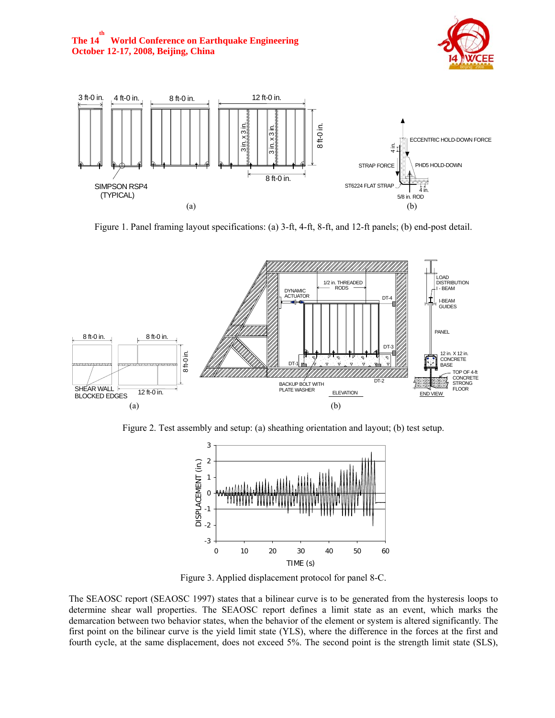



Figure 1. Panel framing layout specifications: (a) 3-ft, 4-ft, 8-ft, and 12-ft panels; (b) end-post detail.



Figure 2. Test assembly and setup: (a) sheathing orientation and layout; (b) test setup.



Figure 3. Applied displacement protocol for panel 8-C.

The SEAOSC report (SEAOSC 1997) states that a bilinear curve is to be generated from the hysteresis loops to determine shear wall properties. The SEAOSC report defines a limit state as an event, which marks the demarcation between two behavior states, when the behavior of the element or system is altered significantly. The first point on the bilinear curve is the yield limit state (YLS), where the difference in the forces at the first and fourth cycle, at the same displacement, does not exceed 5%. The second point is the strength limit state (SLS),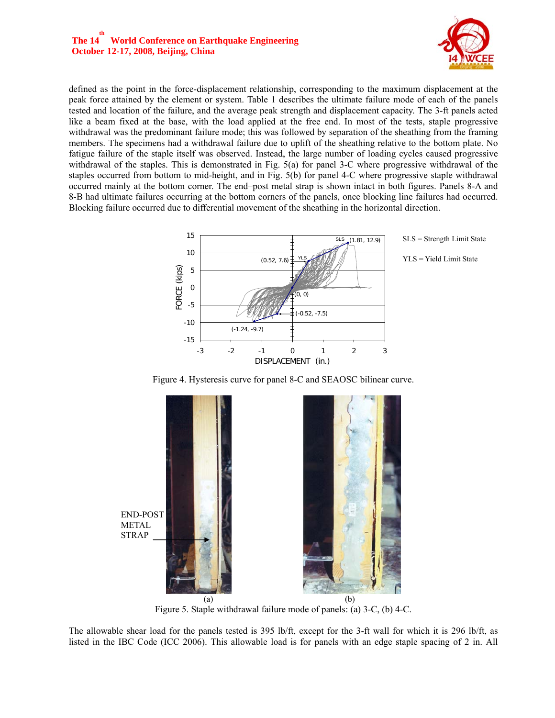#### The  $14^{\text{th}}$ **World Conference on Earthquake Engineering October 12-17, 2008, Beijing, China**



defined as the point in the force-displacement relationship, corresponding to the maximum displacement at the peak force attained by the element or system. Table 1 describes the ultimate failure mode of each of the panels tested and location of the failure, and the average peak strength and displacement capacity. The 3-ft panels acted like a beam fixed at the base, with the load applied at the free end. In most of the tests, staple progressive withdrawal was the predominant failure mode; this was followed by separation of the sheathing from the framing members. The specimens had a withdrawal failure due to uplift of the sheathing relative to the bottom plate. No fatigue failure of the staple itself was observed. Instead, the large number of loading cycles caused progressive withdrawal of the staples. This is demonstrated in Fig. 5(a) for panel 3-C where progressive withdrawal of the staples occurred from bottom to mid-height, and in Fig. 5(b) for panel 4-C where progressive staple withdrawal occurred mainly at the bottom corner. The end–post metal strap is shown intact in both figures. Panels 8-A and 8-B had ultimate failures occurring at the bottom corners of the panels, once blocking line failures had occurred. Blocking failure occurred due to differential movement of the sheathing in the horizontal direction.



Figure 4. Hysteresis curve for panel 8-C and SEAOSC bilinear curve.



Figure 5. Staple withdrawal failure mode of panels: (a) 3-C, (b) 4-C.

The allowable shear load for the panels tested is 395 lb/ft, except for the 3-ft wall for which it is 296 lb/ft, as listed in the IBC Code (ICC 2006). This allowable load is for panels with an edge staple spacing of 2 in. All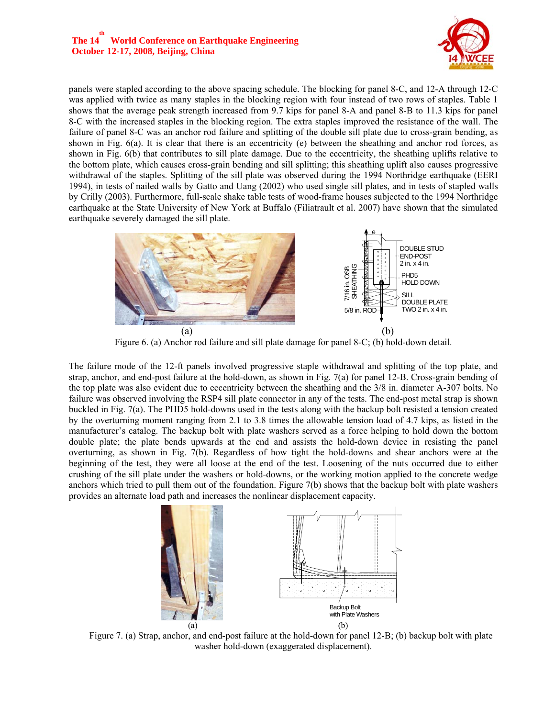## **The 14 th World Conference on Earthquake Engineering October 12-17, 2008, Beijing, China**



panels were stapled according to the above spacing schedule. The blocking for panel 8-C, and 12-A through 12-C was applied with twice as many staples in the blocking region with four instead of two rows of staples. Table 1 shows that the average peak strength increased from 9.7 kips for panel 8-A and panel 8-B to 11.3 kips for panel 8-C with the increased staples in the blocking region. The extra staples improved the resistance of the wall. The failure of panel 8-C was an anchor rod failure and splitting of the double sill plate due to cross-grain bending, as shown in Fig. 6(a). It is clear that there is an eccentricity (e) between the sheathing and anchor rod forces, as shown in Fig. 6(b) that contributes to sill plate damage. Due to the eccentricity, the sheathing uplifts relative to the bottom plate, which causes cross-grain bending and sill splitting; this sheathing uplift also causes progressive withdrawal of the staples. Splitting of the sill plate was observed during the 1994 Northridge earthquake (EERI 1994), in tests of nailed walls by Gatto and Uang (2002) who used single sill plates, and in tests of stapled walls by Crilly (2003). Furthermore, full-scale shake table tests of wood-frame houses subjected to the 1994 Northridge earthquake at the State University of New York at Buffalo (Filiatrault et al. 2007) have shown that the simulated earthquake severely damaged the sill plate.



Figure 6. (a) Anchor rod failure and sill plate damage for panel 8-C; (b) hold-down detail.

The failure mode of the 12-ft panels involved progressive staple withdrawal and splitting of the top plate, and strap, anchor, and end-post failure at the hold-down, as shown in Fig. 7(a) for panel 12-B. Cross-grain bending of the top plate was also evident due to eccentricity between the sheathing and the 3/8 in. diameter A-307 bolts. No failure was observed involving the RSP4 sill plate connector in any of the tests. The end-post metal strap is shown buckled in Fig. 7(a). The PHD5 hold-downs used in the tests along with the backup bolt resisted a tension created by the overturning moment ranging from 2.1 to 3.8 times the allowable tension load of 4.7 kips, as listed in the manufacturer's catalog. The backup bolt with plate washers served as a force helping to hold down the bottom double plate; the plate bends upwards at the end and assists the hold-down device in resisting the panel overturning, as shown in Fig. 7(b). Regardless of how tight the hold-downs and shear anchors were at the beginning of the test, they were all loose at the end of the test. Loosening of the nuts occurred due to either crushing of the sill plate under the washers or hold-downs, or the working motion applied to the concrete wedge anchors which tried to pull them out of the foundation. Figure 7(b) shows that the backup bolt with plate washers provides an alternate load path and increases the nonlinear displacement capacity.



Figure 7. (a) Strap, anchor, and end-post failure at the hold-down for panel 12-B; (b) backup bolt with plate washer hold-down (exaggerated displacement).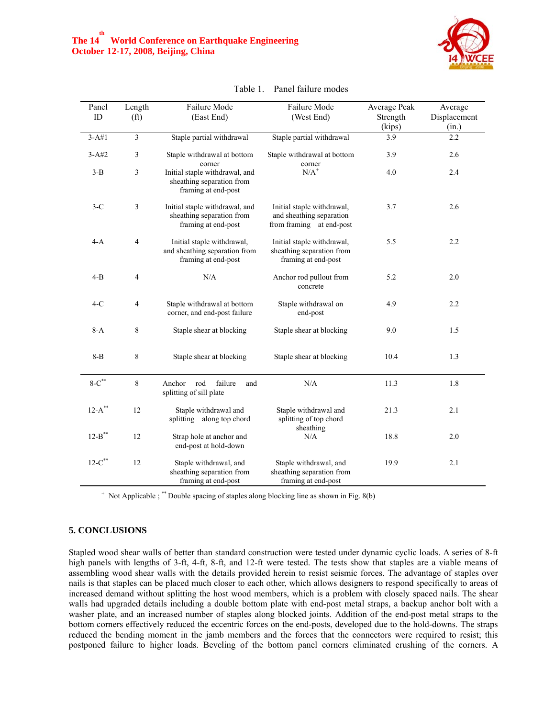

| Panel<br>ID   | Length<br>(f <sup>t</sup> ) | Failure Mode<br>(East End)                                                         | Failure Mode<br>(West End)                                                         | Average Peak<br>Strength | Average<br>Displacement |
|---------------|-----------------------------|------------------------------------------------------------------------------------|------------------------------------------------------------------------------------|--------------------------|-------------------------|
|               |                             |                                                                                    |                                                                                    | (kips)                   | (in.)                   |
| $3-A#1$       | $\overline{\mathbf{3}}$     | Staple partial withdrawal                                                          | Staple partial withdrawal                                                          | $\overline{3.9}$         | 2.2                     |
| $3 - A#2$     | 3                           | Staple withdrawal at bottom<br>corner                                              | Staple withdrawal at bottom<br>corner                                              | 3.9                      | 2.6                     |
| $3-B$         | 3                           | Initial staple withdrawal, and<br>sheathing separation from<br>framing at end-post | $N/A^+$                                                                            | 4.0                      | 2.4                     |
| $3-C$         | 3                           | Initial staple withdrawal, and<br>sheathing separation from<br>framing at end-post | Initial staple withdrawal,<br>and sheathing separation<br>from framing at end-post | 3.7                      | 2.6                     |
| $4-A$         | $\overline{4}$              | Initial staple withdrawal,<br>and sheathing separation from<br>framing at end-post | Initial staple withdrawal,<br>sheathing separation from<br>framing at end-post     | 5.5                      | 2.2                     |
| $4-B$         | $\overline{4}$              | N/A                                                                                | Anchor rod pullout from<br>concrete                                                | 5.2                      | 2.0                     |
| $4-C$         | $\overline{4}$              | Staple withdrawal at bottom<br>corner, and end-post failure                        | Staple withdrawal on<br>end-post                                                   | 4.9                      | 2.2                     |
| $8-A$         | 8                           | Staple shear at blocking                                                           | Staple shear at blocking                                                           | 9.0                      | 1.5                     |
| $8 - B$       | 8                           | Staple shear at blocking                                                           | Staple shear at blocking                                                           | 10.4                     | 1.3                     |
| $8-C$ **      | $\,8\,$                     | Anchor rod<br>failure<br>and<br>splitting of sill plate                            | N/A                                                                                | 11.3                     | 1.8                     |
| $12-A$ **     | 12                          | Staple withdrawal and<br>splitting along top chord                                 | Staple withdrawal and<br>splitting of top chord                                    | 21.3                     | 2.1                     |
| $12 - B$ **   | 12                          | Strap hole at anchor and<br>end-post at hold-down                                  | sheathing<br>N/A                                                                   | 18.8                     | 2.0                     |
| $12 - C^{**}$ | 12                          | Staple withdrawal, and<br>sheathing separation from<br>framing at end-post         | Staple withdrawal, and<br>sheathing separation from<br>framing at end-post         | 19.9                     | 2.1                     |

Table 1. Panel failure modes

+ Not Applicable ; \*\* Double spacing of staples along blocking line as shown in Fig. 8(b)

#### **5. CONCLUSIONS**

Stapled wood shear walls of better than standard construction were tested under dynamic cyclic loads. A series of 8-ft high panels with lengths of 3-ft, 4-ft, 8-ft, and 12-ft were tested. The tests show that staples are a viable means of assembling wood shear walls with the details provided herein to resist seismic forces. The advantage of staples over nails is that staples can be placed much closer to each other, which allows designers to respond specifically to areas of increased demand without splitting the host wood members, which is a problem with closely spaced nails. The shear walls had upgraded details including a double bottom plate with end-post metal straps, a backup anchor bolt with a washer plate, and an increased number of staples along blocked joints. Addition of the end-post metal straps to the bottom corners effectively reduced the eccentric forces on the end-posts, developed due to the hold-downs. The straps reduced the bending moment in the jamb members and the forces that the connectors were required to resist; this postponed failure to higher loads. Beveling of the bottom panel corners eliminated crushing of the corners. A